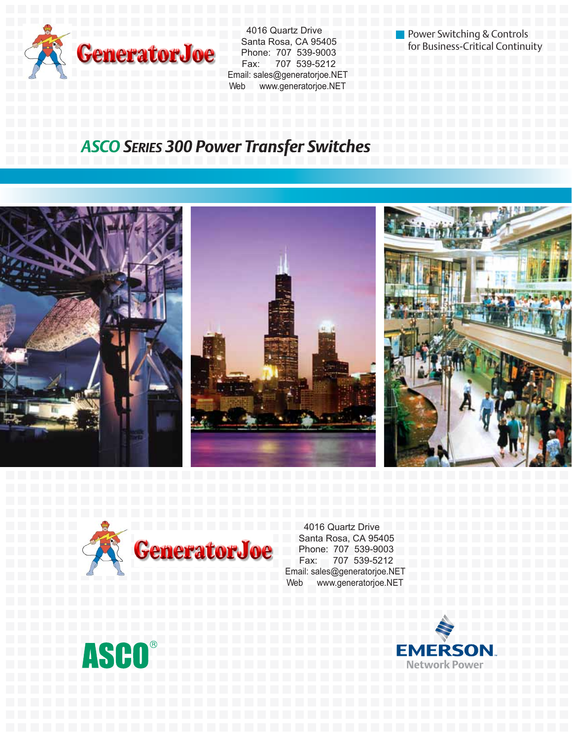

 4016 Quartz Drive Santa Rosa, CA 95405 Phone: 707 539-9003 Fax: 707 539-5212 Email: sales@generatorjoe.NET Web www.generatorjoe.NET

Power Switching & Controls for Business-Critical Continuity

## **ASCO SERIES 300 Power Transfer Switches**





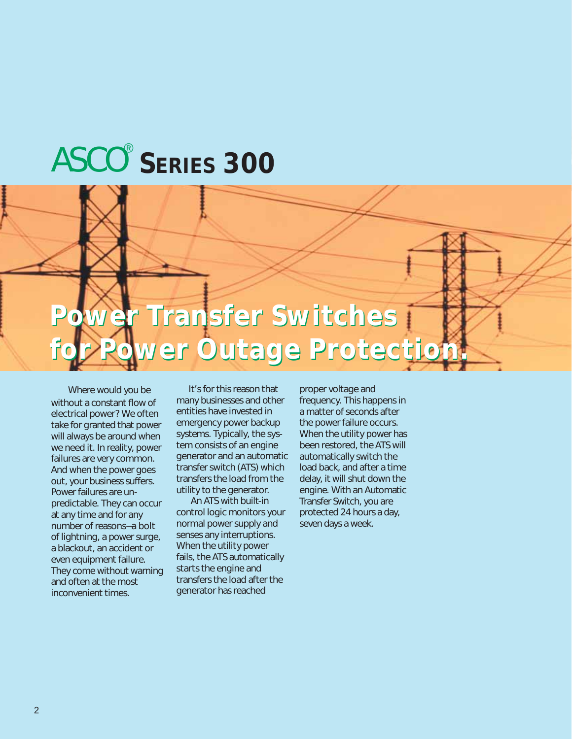# ASCO **SERIES 300** <

## **Power Transfer Switches Power Transfer Switches for Power Outage Protection. for Power Outage Protection.**

Where would you be without a constant flow of electrical power? We often take for granted that power will always be around when we need it. In reality, power failures are very common. And when the power goes out, your business suffers. Power failures are unpredictable. They can occur at any time and for any number of reasons—a bolt of lightning, a power surge, a blackout, an accident or even equipment failure. They come without warning and often at the most inconvenient times.

It's for this reason that many businesses and other entities have invested in emergency power backup systems. Typically, the system consists of an engine generator and an automatic transfer switch (ATS) which transfers the load from the utility to the generator.

An ATS with built-in control logic monitors your normal power supply and senses any interruptions. When the utility power fails, the ATS automatically starts the engine and transfers the load after the generator has reached

proper voltage and frequency. This happens in a matter of seconds after the power failure occurs. When the utility power has been restored, the ATS will automatically switch the load back, and after a time delay, it will shut down the engine. With an Automatic Transfer Switch, you are protected 24 hours a day, seven days a week.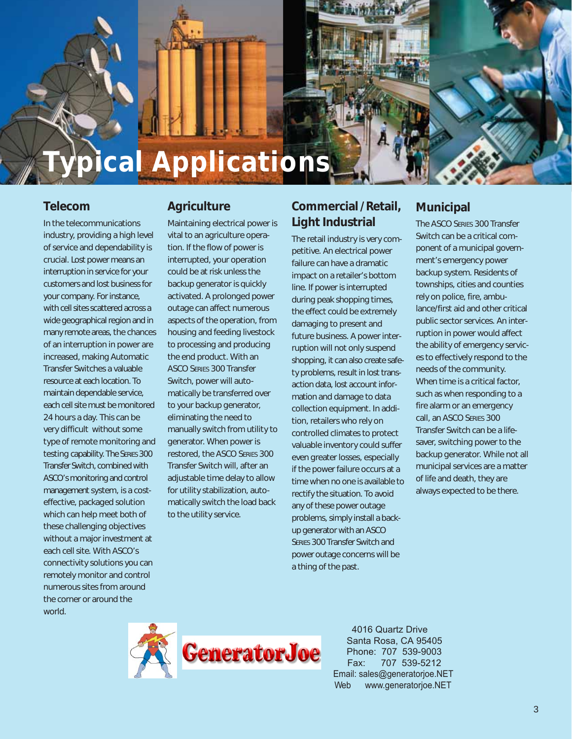

#### **Telecom**

In the telecommunications industry, providing a high level of service and dependability is crucial. Lost power means an interruption in service for your customers and lost business for your company. For instance, with cell sites scattered across a wide geographical region and in many remote areas, the chances of an interruption in power are increased, making Automatic Transfer Switches a valuable resource at each location. To maintain dependable service, each cell site must be monitored 24 hours a day. This can be very difficult without some type of remote monitoring and testing capability. The SERIES 300 Transfer Switch, combined with ASCO's monitoring and control management system, is a costeffective, packaged solution which can help meet both of these challenging objectives without a major investment at each cell site. With ASCO's connectivity solutions you can remotely monitor and control numerous sites from around the corner or around the world.

### **Agriculture**

Maintaining electrical power is vital to an agriculture operation. If the flow of power is interrupted, your operation could be at risk unless the backup generator is quickly activated. A prolonged power outage can affect numerous aspects of the operation, from housing and feeding livestock to processing and producing the end product. With an ASCO SERIES 300 Transfer Switch, power will automatically be transferred over to your backup generator, eliminating the need to manually switch from utility to generator. When power is restored, the ASCO SERIES 300 Transfer Switch will, after an adjustable time delay to allow for utility stabilization, automatically switch the load back to the utility service.

## **Commercial / Retail, Light Industrial**

The retail industry is very competitive. An electrical power failure can have a dramatic impact on a retailer's bottom line. If power is interrupted during peak shopping times, the effect could be extremely damaging to present and future business. A power interruption will not only suspend shopping, it can also create safety problems, result in lost transaction data, lost account information and damage to data collection equipment. In addition, retailers who rely on controlled climates to protect valuable inventory could suffer even greater losses, especially if the power failure occurs at a time when no one is available to rectify the situation. To avoid any of these power outage problems, simply install a backup generator with an ASCO SERIES 300 Transfer Switch and power outage concerns will be a thing of the past.

### **Municipal**

The ASCO SERIES 300 Transfer Switch can be a critical component of a municipal government's emergency power backup system. Residents of townships, cities and counties rely on police, fire, ambulance/first aid and other critical public sector services. An interruption in power would affect the ability of emergency services to effectively respond to the needs of the community. When time is a critical factor, such as when responding to a fire alarm or an emergency call, an ASCO SERIES 300 Transfer Switch can be a lifesaver, switching power to the backup generator. While not all municipal services are a matter of life and death, they are always expected to be there.

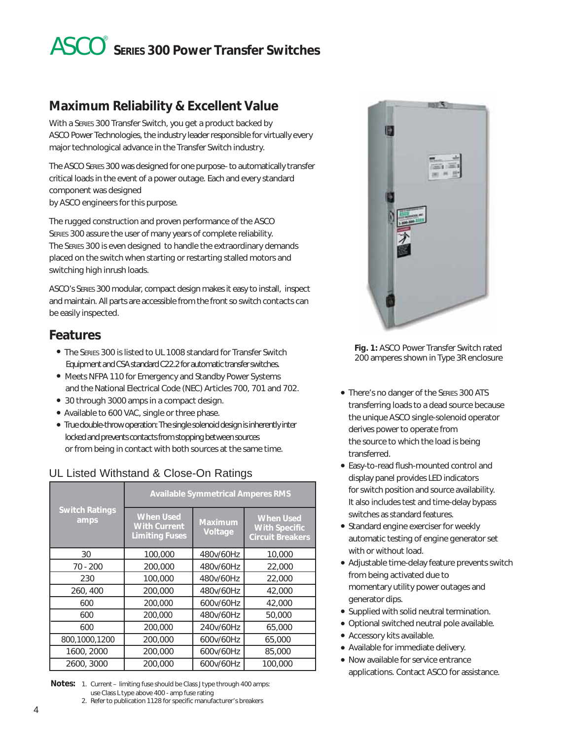## ASCO **SERIES 300 Power Transfer Switches** <

### **Maximum Reliability & Excellent Value**

With a SERIES 300 Transfer Switch, you get a product backed by ASCO Power Technologies, the industry leader responsible for virtually every major technological advance in the Transfer Switch industry.

The ASCO SERIES 300 was designed for one purpose–to automatically transfer critical loads in the event of a power outage. Each and every standard component was designed by ASCO engineers for this purpose.

The rugged construction and proven performance of the ASCO SERIES 300 assure the user of many years of complete reliability. The SERIES 300 is even designed to handle the extraordinary demands placed on the switch when starting or restarting stalled motors and switching high inrush loads.

ASCO's SERIES 300 modular, compact design makes it easy to install, inspect and maintain. All parts are accessible from the front so switch contacts can be easily inspected.

### **Features**

- The SERIES 300 is listed to UL 1008 standard for Transfer Switch Equipment and CSA standard C22.2 for automatic transfer switches.
- Meets NFPA 110 for Emergency and Standby Power Systems and the National Electrical Code (NEC) Articles 700, 701 and 702.
- 30 through 3000 amps in a compact design.
- Available to 600 VAC, single or three phase.
- True double-throw operation: The single solenoid design is inherently inter locked and prevents contacts from stopping between sources or from being in contact with both sources at the same time.

### UL Listed Withstand & Close-On Ratings

|                               |                                                                  | <b>Available Symmetrical Amperes RMS</b> |                                                                     |
|-------------------------------|------------------------------------------------------------------|------------------------------------------|---------------------------------------------------------------------|
| <b>Switch Ratings</b><br>amps | <b>When Used</b><br><b>With Current</b><br><b>Limiting Fuses</b> | <b>Maximum</b><br>Voltage                | <b>When Used</b><br><b>With Specific</b><br><b>Circuit Breakers</b> |
| 30                            | 100,000                                                          | 480v/60Hz                                | 10,000                                                              |
| $70 - 200$                    | 200,000                                                          | 480v/60Hz                                | 22,000                                                              |
| 230                           | 100,000                                                          | 480v/60Hz                                | 22,000                                                              |
| 260, 400                      | 200,000                                                          | 480v/60Hz                                | 42,000                                                              |
| 600                           | 200,000                                                          | 600v/60Hz                                | 42,000                                                              |
| 600                           | 200,000                                                          | 480v/60Hz                                | 50,000                                                              |
| 600                           | 200,000                                                          | 240v/60Hz                                | 65,000                                                              |
| 800,1000,1200                 | 200,000                                                          | 600v/60Hz                                | 65,000                                                              |
| 1600, 2000                    | 200,000                                                          | 600v/60Hz                                | 85,000                                                              |
| 2600, 3000                    | 200,000                                                          | 600v/60Hz                                | 100,000                                                             |

**Notes:** 1. Current – limiting fuse should be Class J type through 400 amps: use Class L type above 400 - amp fuse rating

2. Refer to publication 1128 for specific manufacturer's breakers



**Fig. 1:** ASCO Power Transfer Switch rated 200 amperes shown in Type 3R enclosure

- There's no danger of the SERIES 300 ATS transferring loads to a dead source because the unique ASCO single-solenoid operator derives power to operate from the source to which the load is being transferred.
- Easy-to-read flush-mounted control and display panel provides LED indicators for switch position and source availability. It also includes test and time-delay bypass switches as standard features.
- Standard engine exerciser for weekly automatic testing of engine generator set with or without load.
- Adjustable time-delay feature prevents switch from being activated due to momentary utility power outages and generator dips.
- Supplied with solid neutral termination.
- Optional switched neutral pole available.
- Accessory kits available.
- Available for immediate delivery.
- Now available for service entrance applications. Contact ASCO for assistance.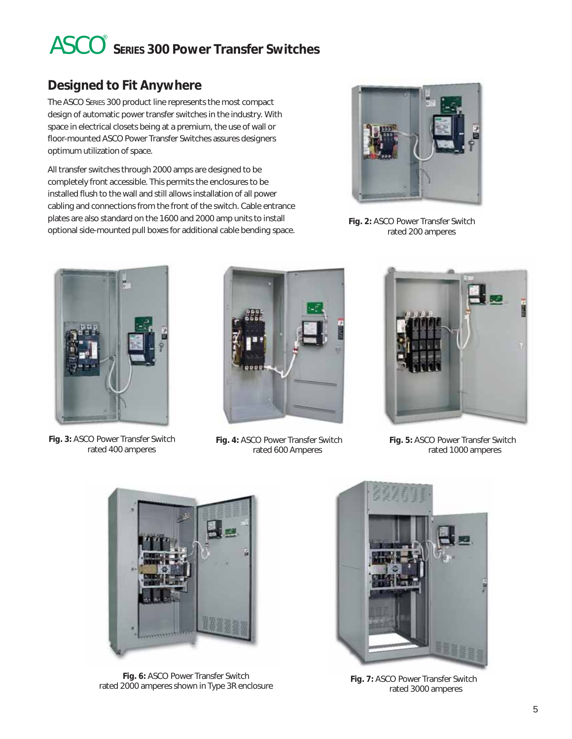## ASCO **SERIES 300 Power Transfer Switches** <

## **Designed to Fit Anywhere**

The ASCO SERIES 300 product line represents the most compact design of automatic power transfer switches in the industry. With space in electrical closets being at a premium, the use of wall or floor-mounted ASCO Power Transfer Switches assures designers optimum utilization of space.

All transfer switches through 2000 amps are designed to be completely front accessible. This permits the enclosures to be installed flush to the wall and still allows installation of all power cabling and connections from the front of the switch. Cable entrance plates are also standard on the 1600 and 2000 amp units to install optional side-mounted pull boxes for additional cable bending space.



**Fig. 2:** ASCO Power Transfer Switch rated 200 amperes



**Fig. 3:** ASCO Power Transfer Switch rated 400 amperes



**Fig. 4:** ASCO Power Transfer Switch rated 600 Amperes



**Fig. 5:** ASCO Power Transfer Switch rated 1000 amperes



**Fig. 6:** ASCO Power Transfer Switch rated 2000 amperes shown in Type 3R enclosure **Fig. 7:** ASCO Power Transfer Switch



rated 3000 amperes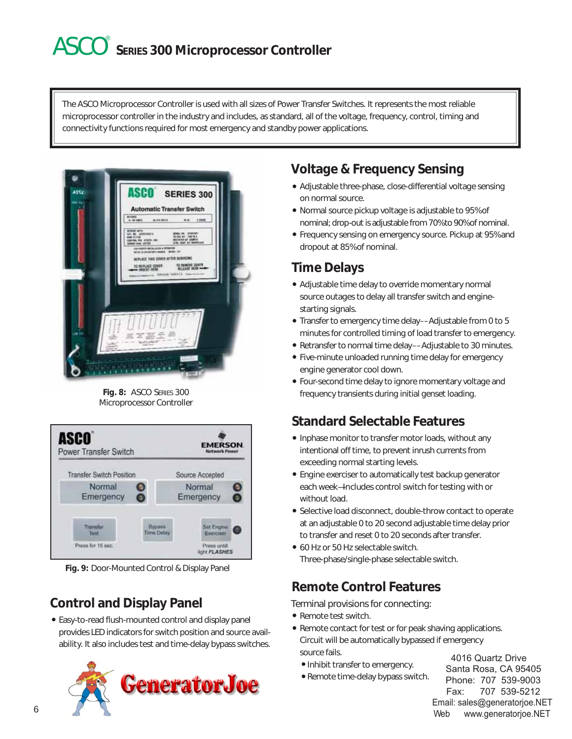## ASCO **SERIES 300 Microprocessor Controller** <

The ASCO Microprocessor Controller is used with all sizes of Power Transfer Switches. It represents the most reliable microprocessor controller in the industry and includes, as standard, all of the voltage, frequency, control, timing and connectivity functions required for most emergency and standby power applications.



**Fig. 8:** ASCO SERIES 300 Microprocessor Controller



**Fig. 9:** Door-Mounted Control & Display Panel

## **Control and Display Panel**

Easy-to-read flush-mounted control and display panel provides LED indicators for switch position and source availability. It also includes test and time-delay bypass switches.



## **Voltage & Frequency Sensing**

- Adjustable three-phase, close-differential voltage sensing on normal source.
- Normal source pickup voltage is adjustable to 95% of nominal; drop-out is adjustable from 70% to 90% of nominal.
- Frequency sensing on emergency source. Pickup at 95% and dropout at 85% of nominal.

## **Time Delays**

- Adjustable time delay to override momentary normal source outages to delay all transfer switch and enginestarting signals.
- Transfer to emergency time delay––Adjustable from 0 to 5 minutes for controlled timing of load transfer to emergency.
- Retransfer to normal time delay––Adjustable to 30 minutes.
- Five-minute unloaded running time delay for emergency engine generator cool down.
- Four-second time delay to ignore momentary voltage and frequency transients during initial genset loading.

## **Standard Selectable Features**

- Inphase monitor to transfer motor loads, without any intentional off time, to prevent inrush currents from exceeding normal starting levels.
- Engine exerciser to automatically test backup generator each week—Includes control switch for testing with or without load.
- Selective load disconnect, double-throw contact to operate at an adjustable 0 to 20 second adjustable time delay prior to transfer and reset 0 to 20 seconds after transfer.
- 60 Hz or 50 Hz selectable switch. Three-phase/single-phase selectable switch.

## **Remote Control Features**

Terminal provisions for connecting:

- Remote test switch.
- Remote contact for test or for peak shaving applications. Circuit will be automatically bypassed if emergency source fails.
	- Inhibit transfer to emergency.
	- Remote time-delay bypass switch.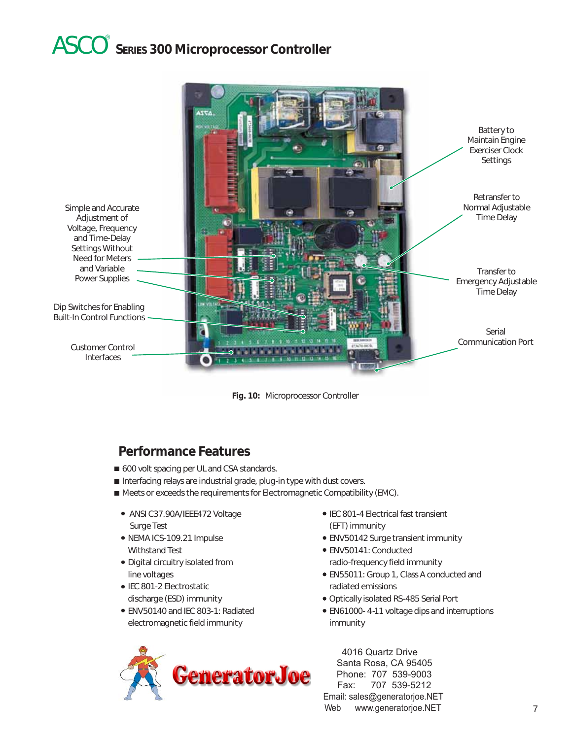## ASCO **SERIES 300 Microprocessor Controller** <





### **Performance Features**

- 600 volt spacing per UL and CSA standards.
- Interfacing relays are industrial grade, plug-in type with dust covers.
- Meets or exceeds the requirements for Electromagnetic Compatibility (EMC).
	- ANSI C37.90A/IEEE472 Voltage Surge Test
	- NEMA ICS-109.21 Impulse Withstand Test
	- Digital circuitry isolated from line voltages
	- **IEC 801-2 Electrostatic** discharge (ESD) immunity
	- ENV50140 and IEC 803-1: Radiated electromagnetic field immunity



- IEC 801-4 Electrical fast transient (EFT) immunity
- ENV50142 Surge transient immunity
- ENV50141: Conducted radio-frequency field immunity
- EN55011: Group 1, Class A conducted and radiated emissions
- Optically isolated RS-485 Serial Port
- EN61000- 4-11 voltage dips and interruptions immunity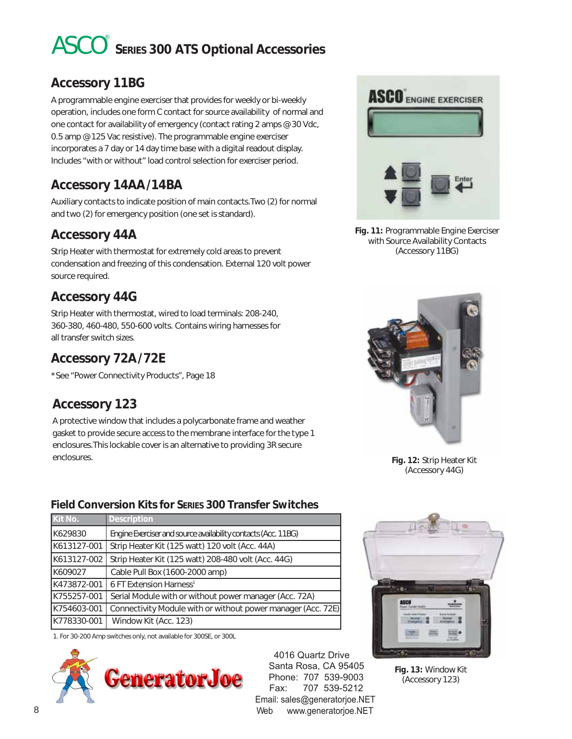## ASCO **SERIES 300 ATS Optional Accessories** <

### **Accessory 11BG**

A programmable engine exerciser that provides for weekly or bi-weekly operation, includes one form C contact for source availability of normal and one contact for availability of emergency (contact rating 2 amps @ 30 Vdc, 0.5 amp @ 125 Vac resistive). The programmable engine exerciser incorporates a 7 day or 14 day time base with a digital readout display. Includes "with or without" load control selection for exerciser period.

## **Accessory 14AA /14BA**

Auxiliary contacts to indicate position of main contacts.Two (2) for normal and two (2) for emergency position (one set is standard).

### **Accessory 44A**

Strip Heater with thermostat for extremely cold areas to prevent condensation and freezing of this condensation. External 120 volt power source required.

### **Accessory 44G**

Strip Heater with thermostat, wired to load terminals: 208-240, 360-380, 460-480, 550-600 volts. Contains wiring harnesses for all transfer switch sizes.

## **Accessory 72A /72E**

\*See "Power Connectivity Products", Page 18

### **Accessory 123**

A protective window that includes a polycarbonate frame and weather gasket to provide secure access to the membrane interface for the type 1 enclosures.This lockable cover is an alternative to providing 3R secure enclosures.

#### **Field Conversion Kits for SERIES 300 Transfer Switches**

| Kit No.     | <b>Description</b>                                            |
|-------------|---------------------------------------------------------------|
| K629830     | Engine Exerciser and source availability contacts (Acc. 11BG) |
| K613127-001 | Strip Heater Kit (125 watt) 120 volt (Acc. 44A)               |
| K613127-002 | Strip Heater Kit (125 watt) 208-480 volt (Acc. 44G)           |
| K609027     | Cable Pull Box (1600-2000 amp)                                |
| K473872-001 | 6 FT Extension Harness <sup>1</sup>                           |
| K755257-001 | Serial Module with or without power manager (Acc. 72A)        |
| K754603-001 | Connectivity Module with or without power manager (Acc. 72E)  |
| K778330-001 | Window Kit (Acc. 123)                                         |
|             |                                                               |

1. For 30-200 Amp switches only, not available for 300SE, or 300L





**Fig. 11:** Programmable Engine Exerciser with Source Availability Contacts (Accessory 11BG)



**Fig. 12:** Strip Heater Kit (Accessory 44G)



**Fig. 13:** Window Kit (Accessory 123)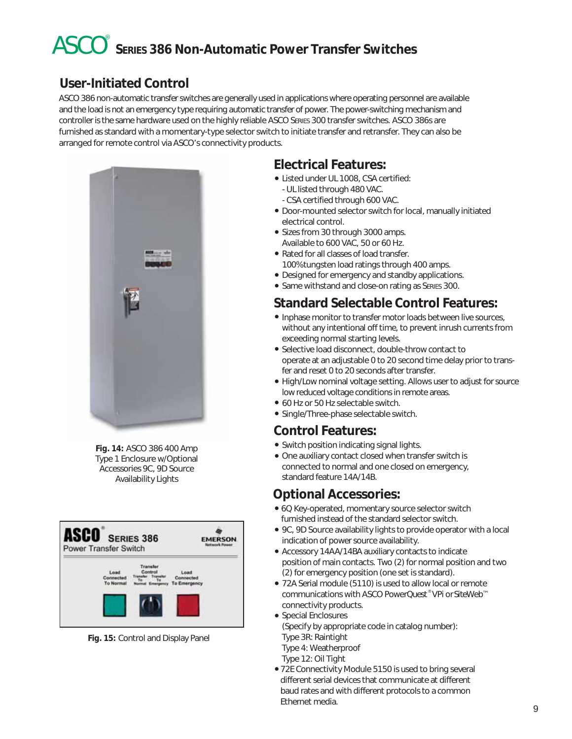## ASCO **SERIES 386 Non-Automatic Power Transfer Switches** <

## **User-Initiated Control**

ASCO 386 non-automatic transfer switches are generally used in applications where operating personnel are available and the load is not an emergency type requiring automatic transfer of power. The power-switching mechanism and controller is the same hardware used on the highly reliable ASCO SERIES 300 transfer switches. ASCO 386s are furnished as standard with a momentary-type selector switch to initiate transfer and retransfer. They can also be arranged for remote control via ASCO's connectivity products.



**Fig. 14:** ASCO 386 400 Amp Type 1 Enclosure w/Optional Accessories 9C, 9D Source Availability Lights



**Fig. 15:** Control and Display Panel

## **Electrical Features:**

- Listed under UL 1008, CSA certified: - UL listed through 480 VAC.
- CSA certified through 600 VAC. Door-mounted selector switch for local, manually initiated
- electrical control. • Sizes from 30 through 3000 amps.
- Available to 600 VAC, 50 or 60 Hz.
- Rated for all classes of load transfer. 100% tungsten load ratings through 400 amps.
- Designed for emergency and standby applications.
- Same withstand and close-on rating as SERIES 300.

### **Standard Selectable Control Features:**

- Inphase monitor to transfer motor loads between live sources, without any intentional off time, to prevent inrush currents from exceeding normal starting levels.
- Selective load disconnect, double-throw contact to operate at an adjustable 0 to 20 second time delay prior to transfer and reset 0 to 20 seconds after transfer.
- High/Low nominal voltage setting. Allows user to adjust for source low reduced voltage conditions in remote areas.
- 60 Hz or 50 Hz selectable switch.
- Single/Three-phase selectable switch.

### **Control Features:**

- Switch position indicating signal lights.
- One auxiliary contact closed when transfer switch is connected to normal and one closed on emergency, standard feature 14A/14B.

### **Optional Accessories:**

- 6Q Key-operated, momentary source selector switch furnished instead of the standard selector switch.
- 9C, 9D Source availability lights to provide operator with a local indication of power source availability.
- Accessory 14AA/14BA auxiliary contacts to indicate position of main contacts. Two (2) for normal position and two (2) for emergency position (one set is standard).
- 72A Serial module (5110) is used to allow local or remote communications with ASCO Power*Quest* ® VP*i* or*Site*Web™ connectivity products.
- Special Enclosures (Specify by appropriate code in catalog number): Type 3R: Raintight Type 4: Weatherproof Type 12: Oil Tight
- 72E Connectivity Module 5150 is used to bring several different serial devices that communicate at different baud rates and with different protocols to a common Ethernet media.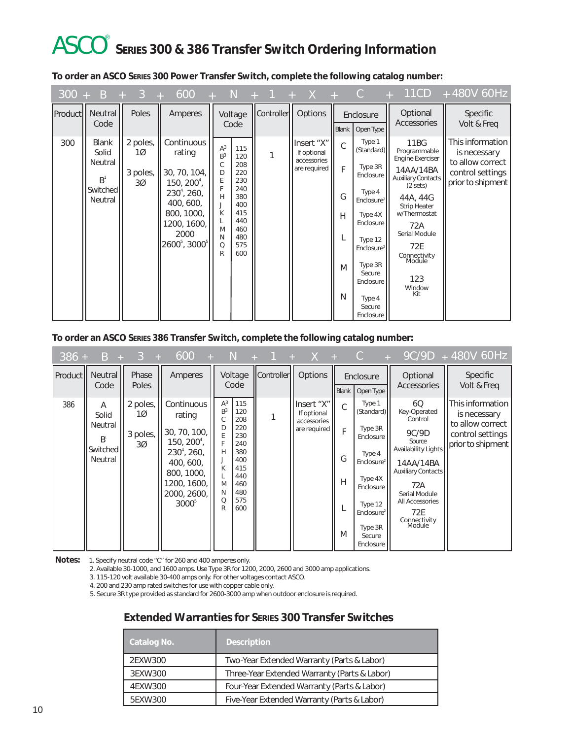## ASCO **SERIES 300 & 386 Transfer Switch Ordering Information** <

|  |  | To order an ASCO SERIES 300 Power Transfer Switch, complete the following catalog number: |
|--|--|-------------------------------------------------------------------------------------------|
|  |  |                                                                                           |

|     | $300 + B + 3$                                                             | <b>All Property</b>                           | 600<br>$\pm$                                                                                                                                                      |                                                                               | - N                                                                                            | $+$ 1      | $\mathsf{X}$<br>$+$                                      | $+$ C                      |                                                                                                                                                                                                                  | 11CD<br>$+$                                                                                                                                                                                                                        | + 480V 60Hz                                                                                   |
|-----|---------------------------------------------------------------------------|-----------------------------------------------|-------------------------------------------------------------------------------------------------------------------------------------------------------------------|-------------------------------------------------------------------------------|------------------------------------------------------------------------------------------------|------------|----------------------------------------------------------|----------------------------|------------------------------------------------------------------------------------------------------------------------------------------------------------------------------------------------------------------|------------------------------------------------------------------------------------------------------------------------------------------------------------------------------------------------------------------------------------|-----------------------------------------------------------------------------------------------|
|     | Product   Neutral<br>Code                                                 | Poles                                         | Amperes                                                                                                                                                           |                                                                               | Voltage<br>Code                                                                                | Controller | Options                                                  | Blank                      | Enclosure<br>Open Type                                                                                                                                                                                           | Optional<br>Accessories                                                                                                                                                                                                            | Specific<br>Volt & Freq                                                                       |
| 300 | <b>Blank</b><br>Solid<br>Neutral<br>B <sup>1</sup><br>Switched<br>Neutral | 2 poles,<br>1Ø<br>3 poles,<br>30 <sup>o</sup> | Continuous<br>rating<br>30, 70, 104,<br>$150, 2004$ ,<br>$230^4$ , 260,<br>400, 600,<br>800, 1000,<br>200, 1600,<br>2000<br>2600 <sup>5</sup> , 3000 <sup>5</sup> | A <sup>3</sup><br>B <sup>3</sup><br>C<br>D<br>E<br>Н<br>К<br>M<br>N<br>Q<br>R | 115<br>120<br>208<br>220<br>230<br>240<br>380<br>400<br>415<br>440<br>460<br>480<br>575<br>600 | 1          | Insert "X"<br>If optional<br>accessories<br>are required | C<br>F<br>G<br>H<br>M<br>N | Type 1<br>(Standard)<br>Type 3R<br>Enclosure<br>Type 4<br>Enclosure <sup>2</sup><br>Type 4X<br>Enclosure<br>Type 12<br>Enclosure <sup>2</sup><br>Type 3R<br>Secure<br>Enclosure<br>Type 4<br>Secure<br>Enclosure | 11BG<br>Programmable<br><b>Engine Exerciser</b><br>14AA/14BA<br>Auxiliary Contacts<br>(2 sets)<br>44A, 44G<br><b>Strip Heater</b><br>w/Thermostat<br>72A<br>Serial Module<br>72E<br>Connectivity<br>Module<br>123<br>Window<br>Kit | This information<br>is necessary<br>to allow correct<br>control settings<br>prior to shipment |

**To order an ASCO SERIES 386 Transfer Switch, complete the following catalog number:**

| $386 +$               | $B +$                                                 | $\mathbf{3}$<br>A.                             | 600                                                                                                                                          | - N                                                        |                                                                                                |            | $+ X +$                                                   |                            | $\mathcal{C}$                                                                                                                                                                   | $\Delta\omega$                                                                                                                                                                                | $9C/9D + 480V 60Hz$                                                                                   |
|-----------------------|-------------------------------------------------------|------------------------------------------------|----------------------------------------------------------------------------------------------------------------------------------------------|------------------------------------------------------------|------------------------------------------------------------------------------------------------|------------|-----------------------------------------------------------|----------------------------|---------------------------------------------------------------------------------------------------------------------------------------------------------------------------------|-----------------------------------------------------------------------------------------------------------------------------------------------------------------------------------------------|-------------------------------------------------------------------------------------------------------|
| Product <sub>II</sub> | Neutral<br>Code                                       | Phase<br><b>Poles</b>                          | Amperes                                                                                                                                      |                                                            | Voltage<br>Code                                                                                | Controller | Options                                                   | Blank                      | Enclosure<br>Open Type                                                                                                                                                          | Optional<br>Accessories                                                                                                                                                                       | <b>Specific</b><br>Volt & Freq                                                                        |
| 386                   | Α<br>Solid<br>Neutral<br>$B^1$<br>Switched<br>Neutral | 2 poles,<br>100<br>3 poles,<br>30 <sup>o</sup> | Continuous<br>rating<br>30, 70, 100,<br>$150, 200^4,$<br>$230^4$ , 260,<br>400, 600,<br>800, 1000,<br>1200, 1600,<br>2000, 2600,<br>$3000^5$ | $A^3$<br>B <sup>3</sup><br>D<br>н<br>Κ<br>M<br>N<br>Q<br>R | 115<br>120<br>208<br>220<br>230<br>240<br>380<br>400<br>415<br>440<br>460<br>480<br>575<br>600 |            | linsert "X"<br>If optional<br>accessories<br>are required | C<br>F<br>G<br>Н<br>L<br>M | Type 1<br>(Standard)<br>Type 3R<br>Enclosure<br>Type 4<br>Enclosure <sup>2</sup><br>Type 4X<br>Enclosure<br>Type 12<br>Enclosure <sup>2</sup><br>Type 3R<br>Secure<br>Enclosure | 6Q<br>Key-Operated<br>Control<br>9C/9D<br>Source<br>Availability Lights<br>14AA/14BA<br><b>Auxiliary Contacts</b><br>72A<br>Serial Module<br>All Accessories<br>72E<br>Connectivity<br>Module | <b>IThis information</b><br>is necessary<br>to allow correct<br>control settings<br>prior to shipment |

**Notes:** 1. Specify neutral code "C" for 260 and 400 amperes only.

2. Available 30-1000, and 1600 amps. Use Type 3R for 1200, 2000, 2600 and 3000 amp applications.

3. 115-120 volt available 30-400 amps only. For other voltages contact ASCO.

4. 200 and 230 amp rated switches for use with copper cable only.

5. Secure 3R type provided as standard for 2600-3000 amp when outdoor enclosure is required.

#### **Extended Warranties for SERIES 300 Transfer Switches**

| Catalog No. | <b>Description</b>                           |
|-------------|----------------------------------------------|
| 2EXW300     | Two-Year Extended Warranty (Parts & Labor)   |
| 3EXW300     | Three-Year Extended Warranty (Parts & Labor) |
| 4EXW300     | Four-Year Extended Warranty (Parts & Labor)  |
| 5EXW300     | Five-Year Extended Warranty (Parts & Labor)  |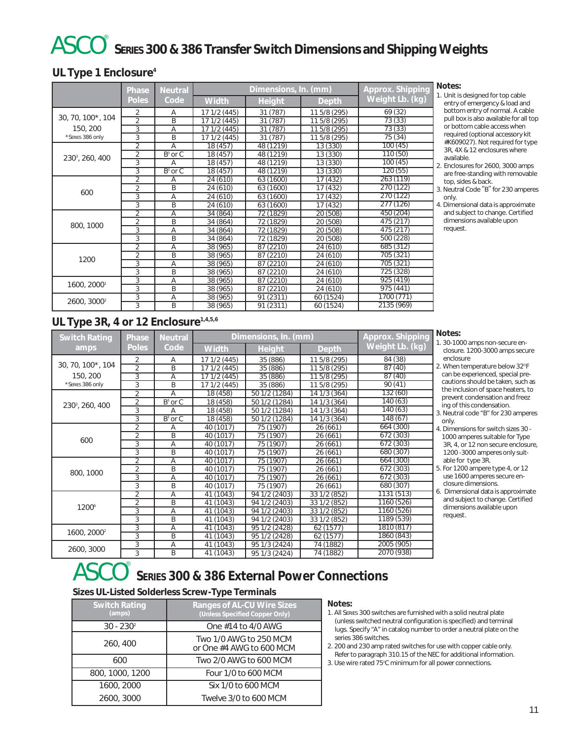## ASCO **SERIES 300 & 386 Transfer Switch Dimensions and Shipping Weights** <

#### **UL Type 1 Enclosure4**

|                             | Phase          | <b>Neutral</b>        |              | Approx. Shipping |              |                 |
|-----------------------------|----------------|-----------------------|--------------|------------------|--------------|-----------------|
|                             | <b>Poles</b>   | Code                  | <b>Width</b> | <b>Height</b>    | Depth        | Weight Lb. (kg) |
|                             | 2              | Α                     | 17 1/2 (445) | 31 (787)         | 11 5/8 (295) | 69 (32)         |
| 30, 70, 100*, 104           | $\overline{2}$ | B                     | 17 1/2 (445) | 31 (787)         | 11 5/8 (295) | 73(33)          |
| 150, 200                    | 3              | A                     | 17 1/2 (445) | 31 (787)         | 11 5/8 (295) | 73(33)          |
| *SERIES 386 only            | 3              | B                     | 17 1/2 (445) | 31 (787)         | 11 5/8 (295) | 75 (34)         |
|                             | $\overline{2}$ | A                     | 18 (457)     | 48 (1219)        | 13 (330)     | 100(45)         |
| 230 <sup>3</sup> , 260, 400 | $\overline{2}$ | $B^3$ or $C$          | 18 (457)     | 48 (1219)        | 13 (330)     | 110 (50)        |
|                             | 3              | A                     | 18 (457)     | 48 (1219)        | 13 (330)     | 100(45)         |
|                             | 3              | $\overline{B^3}$ or C | 18 (457)     | 48 (1219)        | 13 (330)     | 120(55)         |
|                             | $\overline{2}$ | Α                     | 24 (610)     | 63 (1600)        | 17 (432)     | 263 (119)       |
|                             | $\overline{2}$ | B                     | 24 (610)     | 63 (1600)        | 17 (432)     | 270 (122)       |
| 600                         | 3              | A                     | 24 (610)     | 63 (1600)        | 17 (432)     | 270(122)        |
|                             | 3              | B                     | 24 (610)     | 63 (1600)        | 17 (432)     | 277(126)        |
|                             | $\overline{2}$ | A                     | 34 (864)     | 72 (1829)        | 20 (508)     | 450 (204)       |
| 800, 1000                   | $\overline{2}$ | B                     | 34 (864)     | 72 (1829)        | 20 (508)     | 475 (217)       |
|                             | 3              | A                     | 34 (864)     | 72 (1829)        | 20 (508)     | 475(217)        |
|                             | 3              | B                     | 34 (864)     | 72 (1829)        | 20 (508)     | 500 (228)       |
|                             | $\overline{2}$ | A                     | 38(965)      | 87 (2210)        | 24(610)      | 685 (312)       |
| 1200                        | $\overline{2}$ | B                     | 38 (965)     | 87(2210)         | 24 (610)     | 705 (321)       |
|                             | 3              | A                     | 38 (965)     | 87 (2210)        | 24 (610)     | 705 (321)       |
|                             | 3              | B                     | 38 (965)     | 87 (2210)        | 24 (610)     | 725 (328)       |
|                             | 3              | A                     | 38 (965)     | 87 (2210)        | 24 (610)     | 925 (419)       |
| 1600, 20001                 | 3              | B                     | 38 (965)     | 87 (2210)        | 24 (610)     | 975 (441)       |
|                             | 3              | A                     | 38 (965)     | 91 (2311)        | 60 (1524)    | 1700 (771)      |
| 2600, 3000 <sup>2</sup>     | 3              | B                     | 38 (965)     | 91 (2311)        | 60 (1524)    | 2135 (969)      |

#### **Notes:**

- 1. Unit is designed for top cable entry of emergency & load and bottom entry of normal. A cable pull box is also available for all top or bottom cable access when required (optional accessory kit #K609027). Not required for type 3R, 4X & 12 enclosures where available.
- 2. Enclosures for 2600, 3000 amps are free-standing with removable top, sides & back.
- 3. Neutral Code "B" for 230 amperes only.
- 4. Dimensional data is approximate and subject to change. Certified dimensions available upon request.

### **UL Type 3R, 4 or 12 Enclosure**<sup>1,4,5,6</sup>

| <b>Switch Rating</b>        | Phase          | <b>Neutral</b> | Dimensions, In. (mm) | <b>Approx. Shipping</b> |              |                 |
|-----------------------------|----------------|----------------|----------------------|-------------------------|--------------|-----------------|
| amps                        | <b>Poles</b>   | Code           | Width                | Height                  | Depth        | Weight Lb. (kg) |
|                             | 2              | Α              | 17 1/2 (445)         | 35 (886)                | 11 5/8 (295) | 84 (38)         |
| 30, 70, 100*, 104           | $\overline{2}$ | B              | 17 1/2 (445)         | 35 (886)                | 11 5/8 (295) | 87(40)          |
| 150, 200                    | 3              | Α              | 17 1/2 (445)         | 35 (886)                | 11 5/8 (295) | 87(40)          |
| *SERIES 386 only            | 3              | B              | 17 1/2 (445)         | 35 (886)                | 11 5/8 (295) | 90(41)          |
|                             | 2              | Α              | 18 (458)             | 50 1/2 (1284)           | 14 1/3 (364) | 132 (60)        |
| 230 <sup>3</sup> , 260, 400 | $\overline{2}$ | $B^3$ or C     | 18 (458)             | 50 1/2 (1284)           | 14 1/3 (364) | 140(63)         |
|                             | 3              | Α              | 18 (458)             | 50 1/2 (1284)           | 14 1/3 (364) | 140 (63)        |
|                             | 3              | $B^3$ or C     | 18 (458)             | 50 1/2 (1284)           | 14 1/3 (364) | 148 (67)        |
|                             | 2              | Α              | 40 (1017)            | 75 (1907)               | 26(661)      | 664 (300)       |
|                             | $\overline{2}$ | B              | 40 (1017)            | 75 (1907)               | 26(661)      | 672 (303)       |
| 600                         | 3              | A              | 40 (1017)            | 75 (1907)               | 26(661)      | 672 (303)       |
|                             | 3              | B              | 40 (1017)            | 75 (1907)               | 26 (661)     | 680 (307)       |
|                             | $\overline{2}$ | A              | 40 (1017)            | 75 (1907)               | 26(661)      | 664 (300)       |
| 800, 1000                   | 2              | B              | 40 (1017)            | 75 (1907)               | 26 (661)     | 672 (303)       |
|                             | 3              | $\overline{A}$ | 40 (1017)            | 75 (1907)               | 26 (661)     | 672 (303)       |
|                             | 3              | B              | 40 (1017)            | 75 (1907)               | 26(661)      | 680 (307)       |
|                             | $\overline{2}$ | Ā              | 41 (1043)            | 94 1/2 (2403)           | 33 1/2 (852) | 1131 (513)      |
|                             | 2              | B              | 41 (1043)            | 94 1/2 (2403)           | 33 1/2 (852) | 1160 (526)      |
| 1200 <sup>6</sup>           | 3              | Α              | 41 (1043)            | 94 1/2 (2403)           | 33 1/2 (852) | 1160 (526)      |
|                             | 3              | B              | 41 (1043)            | 94 1/2 (2403)           | 33 1/2 (852) | 1189 (539)      |
|                             | 3              | A              | 41 (1043)            | 95 1/2 (2428)           | 62 (1577)    | 1810 (817)      |
| 1600, 2000 <sup>2</sup>     | 3              | B              | 41 (1043)            | 95 1/2 (2428)           | 62 (1577)    | 1860 (843)      |
|                             | 3              | Α              | 41 (1043)            | 95 1/3 (2424)           | 74 (1882)    | 2005 (905)      |
| 2600, 3000                  | 3              | B              | 41 (1043)            | 95 1/3 (2424)           | 74 (1882)    | 2070 (938)      |

#### **Notes:**

- 1. 30-1000 amps non-secure enclosure. 1200-3000 amps secure enclosure
- 2. When temperature below  $32^{\circ}$ F can be experienced, special precautions should be taken, such as the inclusion of space heaters, to prevent condensation and freez ing of this condensation.
- 3. Neutral code "B" for 230 amperes only.
- 4. Dimensions for switch sizes 30 1000 amperes suitable for Type 3R, 4, or 12 non secure enclosure, 1200 -3000 amperes only suitable for type 3R.
- 5. For 1200 ampere type 4, or 12 use 1600 amperes secure enclosure dimensions.
- 6. Dimensional data is approximate and subject to change. Certified dimensions available upon request.

## ASCO **SERIES 300 & 386 External Power Connections** <

#### **Sizes UL-Listed Solderless Screw-Type Terminals**

| <b>Ranges of AL-CU Wire Sizes</b><br>(Unless Specified Copper Only) |
|---------------------------------------------------------------------|
| One #14 to 4/0 AWG                                                  |
| Two 1/0 AWG to 250 MCM<br>or One #4 AWG to 600 MCM                  |
| Two 2/0 AWG to 600 MCM                                              |
| Four 1/0 to 600 MCM                                                 |
| Six 1/0 to 600 MCM                                                  |
| Twelve 3/0 to 600 MCM                                               |
|                                                                     |

#### **Notes:**

- 1. All SERIES 300 switches are furnished with a solid neutral plate (unless switched neutral configuration is specified) and terminal lugs. Specify "A" in catalog number to order a neutral plate on the series 386 switches.
- 2. 200 and 230 amp rated switches for use with copper cable only. Refer to paragraph 310.15 of the NEC for additional information.
- 3. Use wire rated 75°C minimum for all power connections.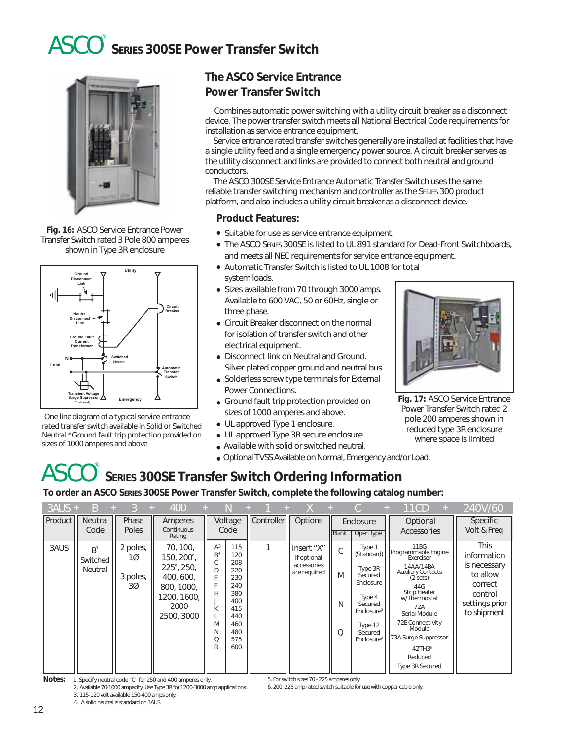## ASCO **SERIES 300SE Power Transfer Switch** <



**Fig. 16:** ASCO Service Entrance Power Transfer Switch rated 3 Pole 800 amperes shown in Type 3R enclosure



One line diagram of a typical service entrance rated transfer switch available in Solid or Switched Neutral.\*Ground fault trip protection provided on sizes of 1000 amperes and above

### **The ASCO Service Entrance Power Transfer Switch**

Combines automatic power switching with a utility circuit breaker as a disconnect device. The power transfer switch meets all National Electrical Code requirements for installation as service entrance equipment.

Service entrance rated transfer switches generally are installed at facilities that have a single utility feed and a single emergency power source. A circuit breaker serves as the utility disconnect and links are provided to connect both neutral and ground conductors.

The ASCO 300SE Service Entrance Automatic Transfer Switch uses the same reliable transfer switching mechanism and controller as the SERIES 300 product platform, and also includes a utility circuit breaker as a disconnect device.

#### **Product Features:**

- Suitable for use as service entrance equipment.
- The ASCO SERIES 300SE is listed to UL 891 standard for Dead-Front Switchboards, and meets all NEC requirements for service entrance equipment.
- Automatic Transfer Switch is listed to UL 1008 for total system loads.
- Sizes available from 70 through 3000 amps. Available to 600 VAC, 50 or 60Hz, single or three phase.
- Circuit Breaker disconnect on the normal for isolation of transfer switch and other electrical equipment.
- Disconnect link on Neutral and Ground. Silver plated copper ground and neutral bus.
- Solderless screw type terminals for External Power Connections.
- Ground fault trip protection provided on sizes of 1000 amperes and above.
- UL approved Type 1 enclosure.
- UL approved Type 3R secure enclosure.
- Available with solid or switched neutral.
- Optional TVSS Available on Normal, Emergency and/or Load.

#### ASCO **SERIES 300SE Transfer Switch Ordering Information**  $^{\circ}$

**To order an ASCO SERIES 300SE Power Transfer Switch, complete the following catalog number:**

| $3AUS +$  | <sub>B</sub>                          |                                  | 400                                                                                                               |                                                                      |                                                                                                |                   |                                                          |                              |                                                                                                                                                        | 11CD<br>$\pm$                                                                                                                                                                                                                                                                            | 240V/60                                                                                                       |
|-----------|---------------------------------------|----------------------------------|-------------------------------------------------------------------------------------------------------------------|----------------------------------------------------------------------|------------------------------------------------------------------------------------------------|-------------------|----------------------------------------------------------|------------------------------|--------------------------------------------------------------------------------------------------------------------------------------------------------|------------------------------------------------------------------------------------------------------------------------------------------------------------------------------------------------------------------------------------------------------------------------------------------|---------------------------------------------------------------------------------------------------------------|
| Product I | Neutral<br>Code                       | Phase<br>Poles                   | Amperes<br>Continuous<br>Rating                                                                                   |                                                                      | Voltage<br>Code                                                                                | <b>Controller</b> | Options                                                  | <b>Blank</b>                 | Enclosure<br>Open Type                                                                                                                                 | Optional<br>Accessories                                                                                                                                                                                                                                                                  | Specific<br>Volt & Freg                                                                                       |
| 3AUS      | R <sup>1</sup><br>Switched<br>Neutral | 2 poles,<br>1Ø<br>3 poles,<br>3Ø | 70, 100,<br>150, 200 <sup>9</sup> ,<br>225°, 250,<br>400, 600,<br>800, 1000,<br>1200, 1600,<br>2000<br>2500, 3000 | $A^3$<br>B <sup>3</sup><br>С<br>D<br>E<br>Н<br>K<br>M<br>N<br>Q<br>R | 115<br>120<br>208<br>220<br>230<br>240<br>380<br>400<br>415<br>440<br>460<br>480<br>575<br>600 |                   | Insert "X"<br>If optional<br>accessories<br>are required | $\mathcal{C}$<br>M<br>N<br>Q | Type 1<br>(Standard)<br>Type 3R<br>Secured<br>Enclosure<br>Type 4<br>Secured<br>Enclosure <sup>2</sup><br>Type 12<br>Secured<br>Enclosure <sup>2</sup> | 11BG<br>Programmable Engine<br>Exerciser<br>14AA/14BA<br><b>Auxiliary Contacts</b><br>$(2 \text{ sets})$<br>44G<br><b>Strip Heater</b><br>w/Thermostat<br>72A<br>Serial Module<br>72E Connectivity<br>Module<br>73A Surge Suppressor<br>42TH3 <sup>5</sup><br>Reduced<br>Type 3R Secured | <b>This</b><br>information<br>is necessary<br>to allow<br>correct<br>control<br>settings prior<br>to shipment |

**Notes:** 1. Specify neutral code "C" for 250 and 400 amperes only. 2. Available 70-1000 ampacity. Use Type 3R for 1200-3000 amp applications.

3. 115-120 volt available 150-400 amps only.

4. A solid neutral is standard on 3AUS.



**Fig. 17:** ASCO Service Entrance Power Transfer Switch rated 2 pole 200 amperes shown in reduced type 3R enclosure where space is limited

6. 200, 225 amp rated switch suitable for use with copper cable only.

5. For switch sizes 70 - 225 amperes only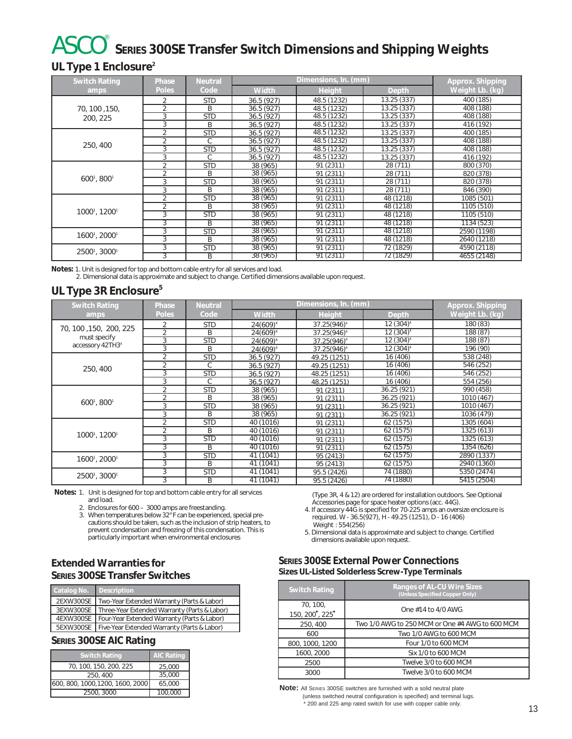## ASCO **SERIES 300SE Transfer Switch Dimensions and Shipping Weights** <

#### **UL Type 1 Enclosure2**

| <b>Switch Rating</b>                  | Phase          | <b>Neutral</b> |              | Approx. Shipping |                        |                 |
|---------------------------------------|----------------|----------------|--------------|------------------|------------------------|-----------------|
| amps                                  | <b>Poles</b>   | Code           | <b>Width</b> | Height           | Depth                  | Weight Lb. (kg) |
|                                       | $\overline{2}$ | <b>STD</b>     | 36.5 (927)   | 48.5 (1232)      | 13.25 (337)            | 400 (185)       |
| 70, 100, 150,                         | 2              | B              | 36.5(927)    | 48.5 (1232)      | 13.25(337)             | 408 (188)       |
| 200, 225                              | 3              | <b>STD</b>     | 36.5(927)    | 48.5 (1232)      | 13.25 (337)            | 408 (188)       |
|                                       | 3              | B              | 36.5(927)    | 48.5 (1232)      | 13.25 (337)            | 416 (192)       |
|                                       | 2              | <b>STD</b>     | 36.5(927)    | 48.5 (1232)      | 13.25 (337)            | 400 (185)       |
| 250, 400                              | $\overline{2}$ | C              | 36.5(927)    | 48.5 (1232)      | 13.25 (337)            | 408 (188)       |
|                                       | 3              | <b>STD</b>     | 36.5(927)    | 48.5 (1232)      | 13.25 (337)            | 408 (188)       |
|                                       | 3              | C              | 36.5(927)    | 48.5 (1232)      | 13.25 (337)            | 416 (192)       |
|                                       | $\overline{2}$ | <b>STD</b>     | 38 (965)     | 91 (2311)        | 28 (711)               | 800 (370)       |
|                                       | 2              | B              | 38 (965)     | 91 (2311)        | 28 (711)               | 820 (378)       |
| 6001, 8001                            | 3              | <b>STD</b>     | 38 (965)     | 91 (2311)        | 28 (711)               | 820 (378)       |
|                                       | 3              | B              | 38 (965)     | 91 (2311)        | 28 (711)               | 846 (390)       |
|                                       | 2              | <b>STD</b>     | 38 (965)     | 91 (2311)        | 48 (1218)              | 1085 (501)      |
|                                       | 2              | B              | 38 (965)     | 91 (2311)        | 48 (1218)              | 1105 (510)      |
| 1000 <sup>1</sup> , 1200 <sup>1</sup> | 3              | <b>STD</b>     | 38 (965)     | 91 (2311)        | 48 (1218)              | 1105 (510)      |
|                                       | 3              | B              | 38 (965)     | 91(2311)         | 48 (1218)              | 1134 (523)      |
|                                       | 3              | <b>STD</b>     | 38 (965)     | 91(2311)         | 48 (1218)              | 2590 (1198)     |
| 16001, 20001                          | 3              | B              | 38 (965)     | 91 (2311)        | $\overline{48}$ (1218) | 2640 (1218)     |
| 25001, 30001                          | 3              | <b>STD</b>     | 38 (965)     | 91 (2311)        | 72 (1829)              | 4590 (2118)     |
|                                       | 3              | B              | 38 (965)     | 91 (2311)        | 72 (1829)              | 4655 (2148)     |

**Notes:** 1. Unit is designed for top and bottom cable entry for all services and load.

2. Dimensional data is approximate and subject to change. Certified dimensions available upon request.

#### **UL Type 3R Enclosure<sup>5</sup>**

| <b>Switch Rating</b>                  | Phase          | <b>Neutral</b> |              | Approx. Shipping        |                       |                 |
|---------------------------------------|----------------|----------------|--------------|-------------------------|-----------------------|-----------------|
| amps                                  | <b>Poles</b>   | Code           | <b>Width</b> | Height                  | Depth                 | Weight Lb. (kg) |
|                                       | 2              | <b>STD</b>     | $24(609)^4$  | 37.25(946) <sup>4</sup> | 12 (304) <sup>4</sup> | 180 (83)        |
| 70, 100, 150, 200, 225                | $\overline{2}$ | B              | $24(609)^4$  | $37.25(946)^4$          | 12 (304) <sup>4</sup> | 188 (87)        |
| must specify                          | $\overline{3}$ | <b>STD</b>     | $24(609)^4$  | 37.25(946) <sup>4</sup> | 12 (304) <sup>4</sup> | 188 (87)        |
| accessory 42TH34                      | 3              | B              | $24(609)^4$  | 37.25(946) <sup>4</sup> | 12 (304) <sup>4</sup> | 196 (90)        |
|                                       | 2              | <b>STD</b>     | 36.5 (927)   | 49.25 (1251)            | 16 (406)              | 538 (248)       |
| 250, 400                              | 2              | C.             | 36.5 (927)   | 49.25 (1251)            | 16 (406)              | 546 (252)       |
|                                       | 3              | <b>STD</b>     | 36.5(927)    | 48.25 (1251)            | 16 (406)              | 546 (252)       |
|                                       | 3              | C.             | 36.5 (927)   | 48.25 (1251)            | 16 (406)              | 554 (256)       |
|                                       | $\overline{2}$ | <b>STD</b>     | 38 (965)     | 91 (2311)               | 36.25 (921)           | 990 (458)       |
|                                       | $\overline{2}$ | B              | 38 (965)     | 91 (2311)               | 36.25 (921)           | 1010 (467)      |
| 6001, 8001                            | 3              | <b>STD</b>     | 38 (965)     | 91 (2311)               | 36.25 (921)           | 1010 (467)      |
|                                       | 3              | B              | 38 (965)     | 91 (2311)               | 36.25 (921)           | 1036 (479)      |
|                                       | $\overline{2}$ | <b>STD</b>     | 40 (1016)    | 91 (2311)               | 62 (1575)             | 1305 (604)      |
|                                       | $\overline{2}$ | B              | 40 (1016)    | 91 (2311)               | 62 (1575)             | 1325 (613)      |
| 1000 <sup>1</sup> , 1200 <sup>1</sup> | 3              | <b>STD</b>     | 40 (1016)    | 91 (2311)               | 62 (1575)             | 1325 (613)      |
|                                       | 3              | B              | 40 (1016)    | 91(2311)                | 62(1575)              | 1354 (626)      |
| 1600 <sup>1</sup> , 2000 <sup>1</sup> | 3              | <b>STD</b>     | 41 (1041)    | 95 (2413)               | 62(1575)              | 2890 (1337)     |
|                                       | 3              | B              | 41 (1041)    | 95 (2413)               | 62 (1575)             | 2940 (1360)     |
| 25001, 30001                          | 3              | <b>STD</b>     | 41 (1041)    | 95.5 (2426)             | 74 (1880)             | 5350 (2474)     |
|                                       | 3              | B              | 41 (1041)    | 95.5 (2426)             | 74 (1880)             | 5415 (2504)     |

**Notes:** 1. Unit is designed for top and bottom cable entry for all services and load.

2. Enclosures for 600 – 3000 amps are freestanding.

3. When temperatures below 32° F can be experienced, special precautions should be taken, such as the inclusion of strip heaters, to prevent condensation and freezing of this condensation. This is particularly important when environmental enclosures

#### **Extended Warranties for SERIES 300SE Transfer Switches**

| Catalog No. | <b>Description</b>                                      |  |
|-------------|---------------------------------------------------------|--|
| 2EXW300SE   | Two-Year Extended Warranty (Parts & Labor)              |  |
| 3EXW300SE   | Three-Year Extended Warranty (Parts & Labor)            |  |
| 4EXW300SE   | Four-Year Extended Warranty (Parts & Labor)             |  |
|             | 5EXW300SE   Five-Year Extended Warranty (Parts & Labor) |  |

#### **SERIES 300SE AIC Rating**

| <b>Switch Rating</b>             | <b>AIC Rating</b> |
|----------------------------------|-------------------|
| 70, 100, 150, 200, 225           | 25,000            |
| 250, 400                         | 35,000            |
| 600, 800, 1000, 1200, 1600, 2000 | 65.000            |
| 2500, 3000                       | 100,000           |

(Type 3R, 4 & 12) are ordered for installation outdoors. See Optional Accessories page for space heater options (acc. 44G).

4. If accessory 44G is specified for 70-225 amps an oversize enclosure is required. W - 36.5(927), H - 49.25 (1251), D - 16 (406) Weight : 554(256)

5. Dimensional data is approximate and subject to change. Certified dimensions available upon request.

#### **SERIES 300SE External Power Connections Sizes UL-Listed Solderless Screw-Type Terminals**

| <b>Switch Rating</b>       | <b>Ranges of AL-CU Wire Sizes</b><br>(Unless Specified Copper Only) |
|----------------------------|---------------------------------------------------------------------|
| 70, 100,<br>150, 200, 225* | One $\#14$ to $4/0$ AWG                                             |
| 250, 400                   | Two 1/0 AWG to 250 MCM or One #4 AWG to 600 MCM                     |
| 600                        | Two 1/0 AWG to 600 MCM                                              |
| 800, 1000, 1200            | Four 1/0 to 600 MCM                                                 |
| 1600, 2000                 | Six 1/0 to 600 MCM                                                  |
| 2500                       | Twelve 3/0 to 600 MCM                                               |
| 3000                       | Twelve 3/0 to 600 MCM                                               |

**Note:** All SERIES 300SE switches are furnished with a solid neutral plate (unless switched neutral configuration is specified) and terminal lugs. \* 200 and 225 amp rated switch for use with copper cable only.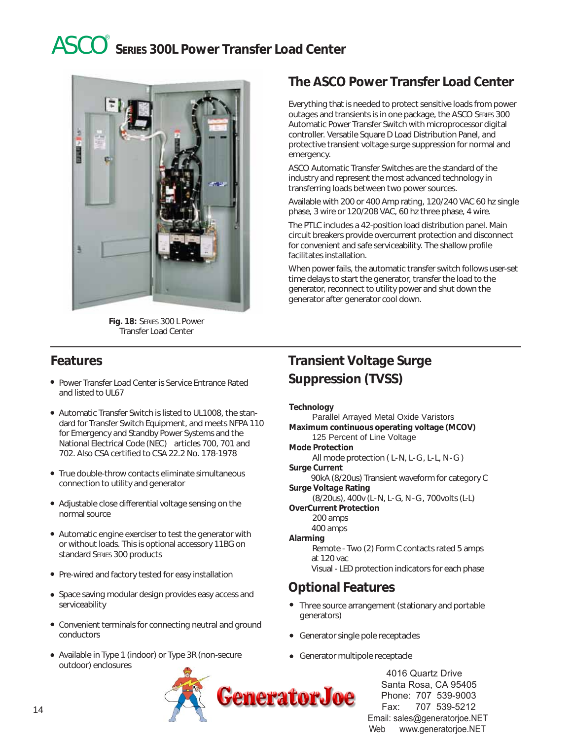## ASCO **SERIES 300L Power Transfer Load Center** <



**Fig. 18:** SERIES 300 L Power Transfer Load Center

### **Features**

- Power Transfer Load Center is Service Entrance Rated and listed to UL67
- Automatic Transfer Switch is listed to UL1008, the standard for Transfer Switch Equipment, and meets NFPA 110 for Emergency and Standby Power Systems and the National Electrical Code (NEC) articles 700, 701 and 702. Also CSA certified to CSA 22.2 No. 178-1978
- True double-throw contacts eliminate simultaneous connection to utility and generator
- Adjustable close differential voltage sensing on the normal source
- Automatic engine exerciser to test the generator with or without loads. This is optional accessory 11BG on standard SERIES 300 products
- Pre-wired and factory tested for easy installation
- Space saving modular design provides easy access and serviceability
- Convenient terminals for connecting neutral and ground conductors
- Available in Type 1 (indoor) or Type 3R (non-secure outdoor) enclosures

### **The ASCO Power Transfer Load Center**

Everything that is needed to protect sensitive loads from power outages and transients is in one package, the ASCO SERIES 300 Automatic Power Transfer Switch with microprocessor digital controller. Versatile Square D Load Distribution Panel, and protective transient voltage surge suppression for normal and emergency.

ASCO Automatic Transfer Switches are the standard of the industry and represent the most advanced technology in transferring loads between two power sources.

Available with 200 or 400 Amp rating, 120/240 VAC 60 hz single phase, 3 wire or 120/208 VAC, 60 hz three phase, 4 wire.

The PTLC includes a 42-position load distribution panel. Main circuit breakers provide overcurrent protection and disconnect for convenient and safe serviceability. The shallow profile facilitates installation.

When power fails, the automatic transfer switch follows user-set time delays to start the generator, transfer the load to the generator, reconnect to utility power and shut down the generator after generator cool down.

### **Transient Voltage Surge Suppression (TVSS)**

#### **Technology**

Parallel Arrayed Metal Oxide Varistors **Maximum continuous operating voltage (MCOV)** 125 Percent of Line Voltage **Mode Protection** All mode protection (L-N, L-G, L-L, N-G) **Surge Current** 90kA (8/20us) Transient waveform for category C **Surge Voltage Rating** (8/20us), 400v (L- N, L- G, N - G , 700volts (L-L) **OverCurrent Protection** 200 amps 400 amps **Alarming** Remote - Two (2) Form C contacts rated 5 amps at 120 vac Visual - LED protection indicators for each phase

#### **Optional Features**

- Three source arrangement (stationary and portable generators)
- Generator single pole receptacles
- Generator multipole receptacle

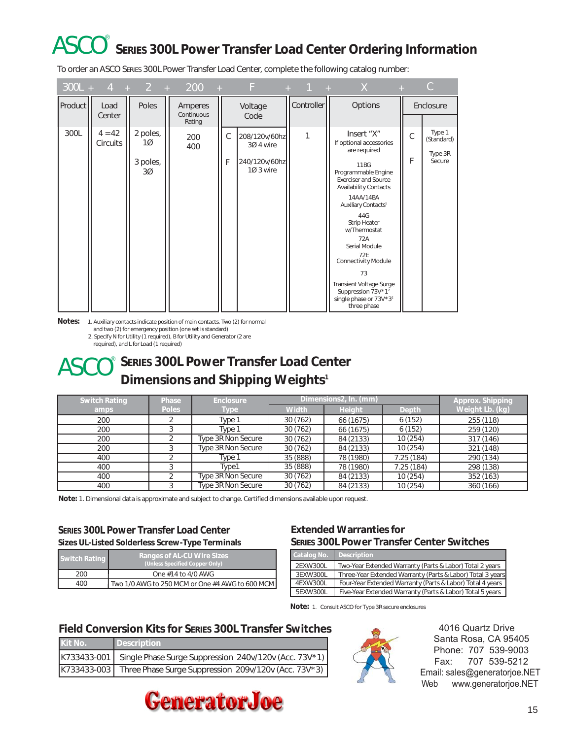## ASCO **SERIES 300L Power Transfer Load Center Ordering Information** <

To order an ASCO SERIES 300L Power Transfer Load Center, complete the following catalog number:

|         |                      |                                                | $300L + 4 + 2 + 200 + F$ |        |                                                          |            | $+$ 1 $+$ X                                                                                                                                                                                                                                                                                                                                                                                                                                  |        | C.                                        |
|---------|----------------------|------------------------------------------------|--------------------------|--------|----------------------------------------------------------|------------|----------------------------------------------------------------------------------------------------------------------------------------------------------------------------------------------------------------------------------------------------------------------------------------------------------------------------------------------------------------------------------------------------------------------------------------------|--------|-------------------------------------------|
| Product | Load<br>Center       | Poles                                          | Amperes<br>Continuous    |        | Voltage<br>Code                                          | Controller | Options                                                                                                                                                                                                                                                                                                                                                                                                                                      |        | Enclosure                                 |
| 300L    | $4 = 42$<br>Circuits | 2 poles,<br>100<br>3 poles,<br>30 <sup>o</sup> | Rating<br>200<br>400     | С<br>F | 208/120v/60hz<br>3Ø 4 wire<br>240/120v/60hz<br>10 3 wire | 1          | Insert "X"<br>If optional accessories<br>are required<br>11B<br>Programmable Engine<br><b>Exerciser and Source</b><br><b>Availability Contacts</b><br>14AA/14BA<br>Auxiliary Contacts <sup>1</sup><br>44G<br><b>Strip Heater</b><br>w/Thermostat<br>72A<br>Serial Module<br>72F<br><b>Connectivity Module</b><br>73<br><b>Transient Voltage Surge</b><br>Suppression 73V*1 <sup>2</sup><br>single phase or 73V*3 <sup>2</sup><br>three phase | C<br>F | Type 1<br>(Standard)<br>Type 3R<br>Secure |

**Notes:** 1. Auxiliary contacts indicate position of main contacts. Two (2) for normal

and two (2) for emergency position (one set is standard)

2. Specify N for Utility (1 required), B for Utility and Generator (2 are

required), and L for Load (1 required)

#### **SERIES 300L Power Transfer Load Center ASCO** SERIES 300L Power Transfer Load Cer<br>Dimensions and Shipping Weights<sup>1</sup>  $^{\circ}$

| <b>Switch Rating</b> | Phase        | <b>Enclosure</b>   | Dimensions2, In. (mm) |               | Approx. Shipping |                 |
|----------------------|--------------|--------------------|-----------------------|---------------|------------------|-----------------|
| amps                 | <b>Poles</b> | Type               | <b>Width</b>          | <b>Height</b> | <b>Depth</b>     | Weight Lb. (kg) |
| 200                  |              | Type 1             | 30(762)               | 66 (1675)     | 6(152)           | 255 (118)       |
| 200                  |              | Type 1             | 30(762)               | 66 (1675)     | 6(152)           | 259 (120)       |
| 200                  |              | Type 3R Non Secure | 30(762)               | 84 (2133)     | 10(254)          | 317 (146)       |
| 200                  |              | Type 3R Non Secure | 30(762)               | 84 (2133)     | 10(254)          | 321 (148)       |
| 400                  |              | Type 1             | 35 (888)              | 78 (1980)     | 7.25 (184)       | 290 (134)       |
| 400                  |              | Type1              | 35 (888)              | 78 (1980)     | 7.25 (184)       | 298 (138)       |
| 400                  |              | Type 3R Non Secure | 30(762)               | 84 (2133)     | 10(254)          | 352 (163)       |
| 400                  |              | Type 3R Non Secure | 30(762)               | 84 (2133)     | 10(254)          | 360 (166)       |

**Note:** 1. Dimensional data is approximate and subject to change. Certified dimensions available upon request.

#### **SERIES 300L Power Transfer Load Center Sizes UL-Listed Solderless Screw-Type Terminals**

| SILOS OLTERACO SORGO IGSS SOFGWT FYPO TOFFITHIOIS |                                                                     |  |  |  |
|---------------------------------------------------|---------------------------------------------------------------------|--|--|--|
| <b>Switch Rating</b>                              | <b>Ranges of AL-CU Wire Sizes</b><br>(Unless Specified Copper Only) |  |  |  |
| 200                                               | One #14 to 4/0 AWG                                                  |  |  |  |
| 400                                               | Two 1/0 AWG to 250 MCM or One #4 AWG to 600 MCM                     |  |  |  |

## **Extended Warranties for**

|                                              | <b>SERIES 300L Power Transfer Center Switches</b> |
|----------------------------------------------|---------------------------------------------------|
| <u>and the second contract of the second</u> |                                                   |

| Catalog No. Description |                                                            |
|-------------------------|------------------------------------------------------------|
| 2EXW300L                | Two-Year Extended Warranty (Parts & Labor) Total 2 years   |
| 3EXW300L                | Three-Year Extended Warranty (Parts & Labor) Total 3 years |
| 4EXW300L                | Four-Year Extended Warranty (Parts & Labor) Total 4 years  |
| 5EXW300L                | Five-Year Extended Warranty (Parts & Labor) Total 5 years  |

**Note:** 1. Consult ASCO for Type 3R secure enclosures

#### **Field Conversion Kits for SERIES 300L Transfer Switches**

| Kit No. | Description                                                         |
|---------|---------------------------------------------------------------------|
|         | K733433-001   Single Phase Surge Suppression 240v/120v (Acc. 73V*1) |
|         | K733433-003   Three Phase Surge Suppression 209v/120v (Acc. 73V*3)  |



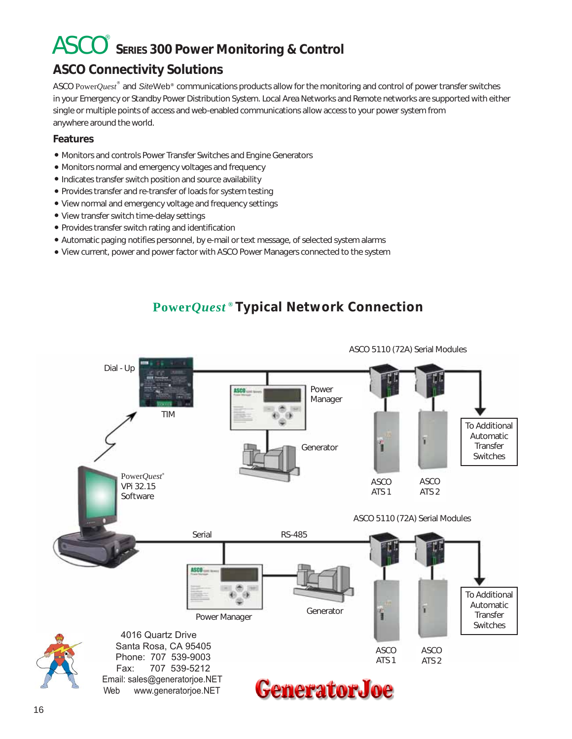## ASCO **SERIES 300 Power Monitoring & Control** <

## **ASCO Connectivity Solutions**

ASCO Power*Quest*® and *SiteWeb®* communications products allow for the monitoring and control of power transfer switches in your Emergency or Standby Power Distribution System. Local Area Networks and Remote networks are supported with either single or multiple points of access and web-enabled communications allow access to your power system from anywhere around the world.

#### **Features**

- Monitors and controls Power Transfer Switches and Engine Generators
- Monitors normal and emergency voltages and frequency
- Indicates transfer switch position and source availability
- Provides transfer and re-transfer of loads for system testing
- View normal and emergency voltage and frequency settings
- View transfer switch time-delay settings
- Provides transfer switch rating and identification
- Automatic paging notifies personnel, by e-mail or text message, of selected system alarms
- View current, power and power factor with ASCO Power Managers connected to the system

## **Power***Quest* **® Typical Network Connection**

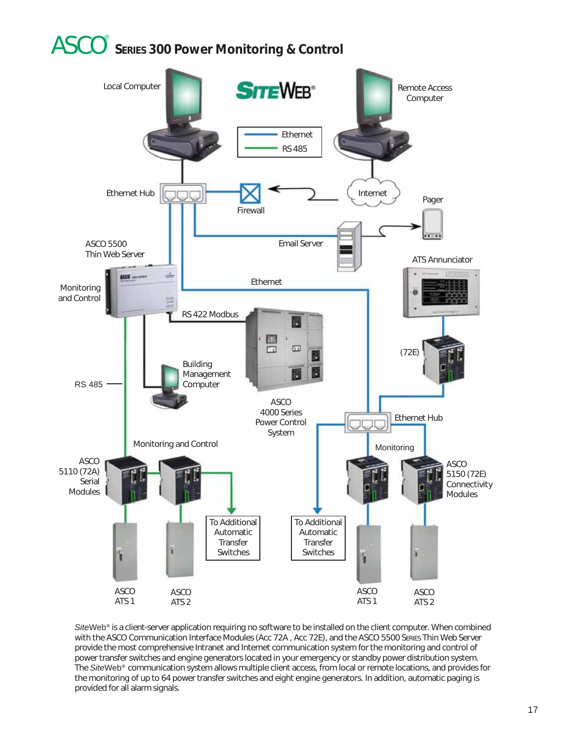## ASCO **SERIES 300 Power Monitoring & Control** <



*Site*Web**®** is a client-server application requiring no software to be installed on the client computer. When combined with the ASCO Communication Interface Modules (Acc 72A , Acc 72E), and the ASCO 5500 SERIES Thin Web Server provide the most comprehensive Intranet and Internet communication system for the monitoring and control of power transfer switches and engine generators located in your emergency or standby power distribution system. The *Site*Web**®** communication system allows multiple client access, from local or remote locations, and provides for the monitoring of up to 64 power transfer switches and eight engine generators. In addition, automatic paging is provided for all alarm signals.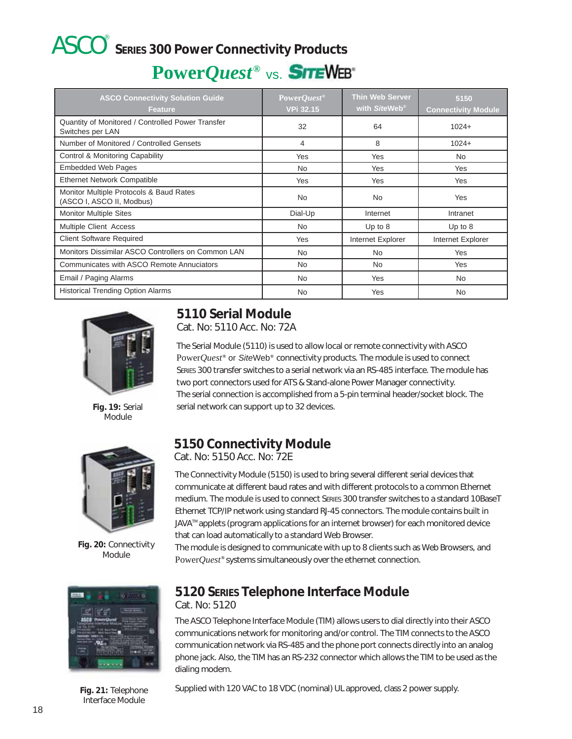## ASCO **SERIES 300 Power Connectivity Products** <

## **Power***Quest***®** vs.

| <b>ASCO Connectivity Solution Guide</b><br><b>Feature</b>             | PowerQuest <sup>®</sup><br><b>VPi 32.15</b> | <b>Thin Web Server</b><br>with SiteWeb <sup>®</sup> | 5150<br><b>Connectivity Module</b> |
|-----------------------------------------------------------------------|---------------------------------------------|-----------------------------------------------------|------------------------------------|
| Quantity of Monitored / Controlled Power Transfer<br>Switches per LAN | 32                                          | 64                                                  | $1024+$                            |
| Number of Monitored / Controlled Gensets                              | 4                                           | 8                                                   | $1024+$                            |
| Control & Monitoring Capability                                       | Yes                                         | Yes                                                 | <b>No</b>                          |
| <b>Embedded Web Pages</b>                                             | <b>No</b>                                   | Yes                                                 | <b>Yes</b>                         |
| <b>Ethernet Network Compatible</b>                                    | Yes                                         | Yes                                                 | Yes                                |
| Monitor Multiple Protocols & Baud Rates<br>(ASCO I, ASCO II, Modbus)  | <b>No</b>                                   | No.                                                 | Yes                                |
| <b>Monitor Multiple Sites</b>                                         | Dial-Up                                     | Internet                                            | Intranet                           |
| Multiple Client Access                                                | <b>No</b>                                   | Up to $8$                                           | Up to $8$                          |
| <b>Client Software Required</b>                                       | Yes                                         | Internet Explorer                                   | Internet Explorer                  |
| Monitors Dissimilar ASCO Controllers on Common LAN                    | <b>No</b>                                   | No.                                                 | Yes                                |
| Communicates with ASCO Remote Annuciators                             | <b>No</b>                                   | No.                                                 | Yes                                |
| Email / Paging Alarms                                                 | <b>No</b>                                   | Yes                                                 | <b>No</b>                          |
| <b>Historical Trending Option Alarms</b>                              | <b>No</b>                                   | Yes                                                 | <b>No</b>                          |



**Fig. 19:** Serial **Module** 



**Fig. 20:** Connectivity Module



Interface Module

## **5110 Serial Module**

Cat. No: 5110 Acc. No: 72A

The Serial Module (5110) is used to allow local or remote connectivity with ASCO Power*Quest***®** or *Site*Web**®** connectivity products. The module is used to connect SERIES 300 transfer switches to a serial network via an RS-485 interface. The module has two port connectors used for ATS & Stand-alone Power Manager connectivity. The serial connection is accomplished from a 5-pin terminal header/socket block. The serial network can support up to 32 devices.

## **5150 Connectivity Module**

Cat. No: 5150 Acc. No: 72E

The Connectivity Module (5150) is used to bring several different serial devices that communicate at different baud rates and with different protocols to a common Ethernet medium. The module is used to connect SERIES 300 transfer switches to a standard 10BaseT Ethernet TCP/IP network using standard RJ-45 connectors. The module contains built in JAVA<sup>™</sup> applets (program applications for an internet browser) for each monitored device that can load automatically to a standard Web Browser.

The module is designed to communicate with up to 8 clients such as Web Browsers, and Power*Quest***®** systems simultaneously over the ethernet connection.

## **5120 SERIES Telephone Interface Module**

Cat. No: 5120

The ASCO Telephone Interface Module (TIM) allows users to dial directly into their ASCO communications network for monitoring and/or control. The TIM connects to the ASCO communication network via RS-485 and the phone port connects directly into an analog phone jack. Also, the TIM has an RS-232 connector which allows the TIM to be used as the dialing modem.

**Fig. 21:** Telephone Supplied with 120 VAC to 18 VDC (nominal) UL approved, class 2 power supply.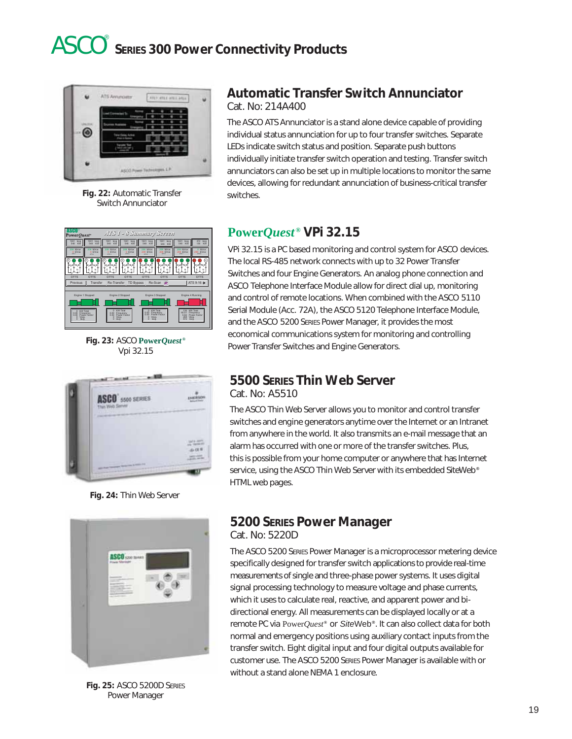

**Fig. 22:** Automatic Transfer switches. Switch Annunciator

#### **Automatic Transfer Switch Annunciator** Cat. No: 214A400

The ASCO ATS Annunciator is a stand alone device capable of providing individual status annunciation for up to four transfer switches. Separate LEDs indicate switch status and position. Separate push buttons individually initiate transfer switch operation and testing. Transfer switch annunciators can also be set up in multiple locations to monitor the same devices, allowing for redundant annunciation of business-critical transfer



**Fig. 23:** ASCO **Power***Quest* **®** Vpi 32.15



**Fig. 24:** Thin Web Server



**Fig. 25:** ASCO 5200D SERIES Power Manager

### **Power***Quest* **® VPi 32.15**

VPi 32.15 is a PC based monitoring and control system for ASCO devices. The local RS-485 network connects with up to 32 Power Transfer Switches and four Engine Generators. An analog phone connection and ASCO Telephone Interface Module allow for direct dial up, monitoring and control of remote locations. When combined with the ASCO 5110 Serial Module (Acc. 72A), the ASCO 5120 Telephone Interface Module, and the ASCO 5200 SERIES Power Manager, it provides the most economical communications system for monitoring and controlling Power Transfer Switches and Engine Generators.

## **5500 SERIES Thin Web Server**

Cat. No: A5510

The ASCO Thin Web Server allows you to monitor and control transfer switches and engine generators anytime over the Internet or an Intranet from anywhere in the world. It also transmits an e-mail message that an alarm has occurred with one or more of the transfer switches. Plus, this is possible from your home computer or anywhere that has Internet service, using the ASCO Thin Web Server with its embedded *Site*Web **®** HTML web pages.

#### **5200 SERIES Power Manager** Cat. No: 5220D

The ASCO 5200 SERIES Power Manager is a microprocessor metering device specifically designed for transfer switch applications to provide real-time measurements of single and three-phase power systems. It uses digital signal processing technology to measure voltage and phase currents, which it uses to calculate real, reactive, and apparent power and bidirectional energy. All measurements can be displayed locally or at a remote PC via Power*Quest***®** or *Site*Web**®**. It can also collect data for both normal and emergency positions using auxiliary contact inputs from the transfer switch. Eight digital input and four digital outputs available for customer use. The ASCO 5200 SERIES Power Manager is available with or without a stand alone NEMA 1 enclosure.